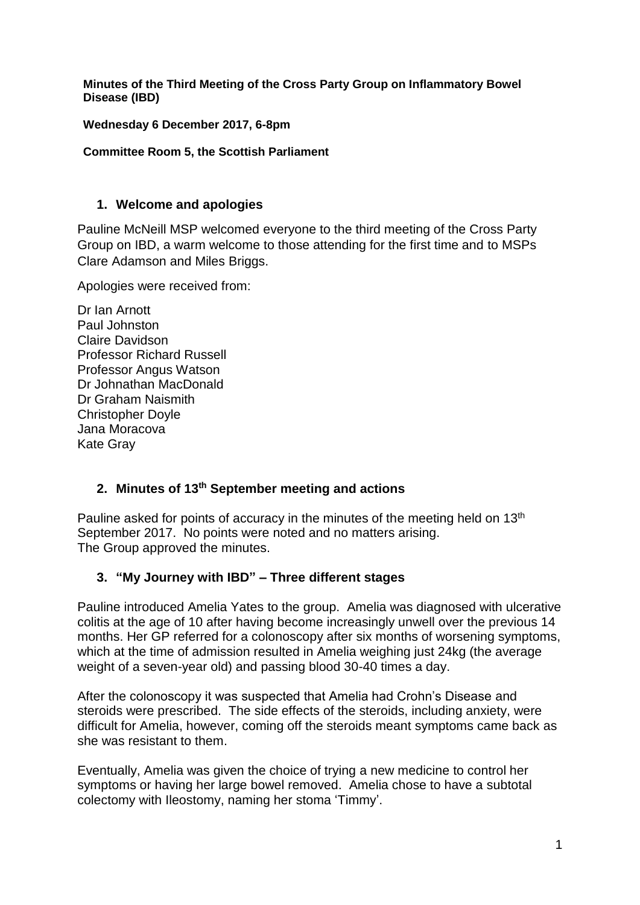**Minutes of the Third Meeting of the Cross Party Group on Inflammatory Bowel Disease (IBD)**

**Wednesday 6 December 2017, 6-8pm**

#### **Committee Room 5, the Scottish Parliament**

#### **1. Welcome and apologies**

Pauline McNeill MSP welcomed everyone to the third meeting of the Cross Party Group on IBD, a warm welcome to those attending for the first time and to MSPs Clare Adamson and Miles Briggs.

Apologies were received from:

Dr Ian Arnott Paul Johnston Claire Davidson Professor Richard Russell Professor Angus Watson Dr Johnathan MacDonald Dr Graham Naismith Christopher Doyle Jana Moracova Kate Gray

## **2. Minutes of 13th September meeting and actions**

Pauline asked for points of accuracy in the minutes of the meeting held on 13<sup>th</sup> September 2017. No points were noted and no matters arising. The Group approved the minutes.

## **3. "My Journey with IBD" – Three different stages**

Pauline introduced Amelia Yates to the group. Amelia was diagnosed with ulcerative colitis at the age of 10 after having become increasingly unwell over the previous 14 months. Her GP referred for a colonoscopy after six months of worsening symptoms, which at the time of admission resulted in Amelia weighing just 24kg (the average weight of a seven-year old) and passing blood 30-40 times a day.

After the colonoscopy it was suspected that Amelia had Crohn's Disease and steroids were prescribed. The side effects of the steroids, including anxiety, were difficult for Amelia, however, coming off the steroids meant symptoms came back as she was resistant to them.

Eventually, Amelia was given the choice of trying a new medicine to control her symptoms or having her large bowel removed. Amelia chose to have a subtotal colectomy with Ileostomy, naming her stoma 'Timmy'.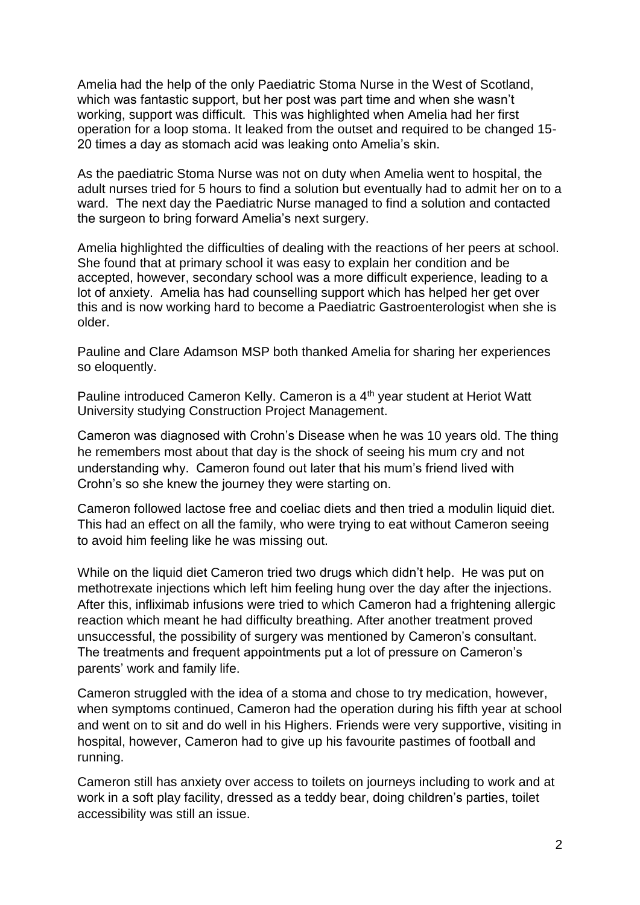Amelia had the help of the only Paediatric Stoma Nurse in the West of Scotland, which was fantastic support, but her post was part time and when she wasn't working, support was difficult. This was highlighted when Amelia had her first operation for a loop stoma. It leaked from the outset and required to be changed 15- 20 times a day as stomach acid was leaking onto Amelia's skin.

As the paediatric Stoma Nurse was not on duty when Amelia went to hospital, the adult nurses tried for 5 hours to find a solution but eventually had to admit her on to a ward. The next day the Paediatric Nurse managed to find a solution and contacted the surgeon to bring forward Amelia's next surgery.

Amelia highlighted the difficulties of dealing with the reactions of her peers at school. She found that at primary school it was easy to explain her condition and be accepted, however, secondary school was a more difficult experience, leading to a lot of anxiety. Amelia has had counselling support which has helped her get over this and is now working hard to become a Paediatric Gastroenterologist when she is older.

Pauline and Clare Adamson MSP both thanked Amelia for sharing her experiences so eloquently.

Pauline introduced Cameron Kelly. Cameron is a 4th year student at Heriot Watt University studying Construction Project Management.

Cameron was diagnosed with Crohn's Disease when he was 10 years old. The thing he remembers most about that day is the shock of seeing his mum cry and not understanding why. Cameron found out later that his mum's friend lived with Crohn's so she knew the journey they were starting on.

Cameron followed lactose free and coeliac diets and then tried a modulin liquid diet. This had an effect on all the family, who were trying to eat without Cameron seeing to avoid him feeling like he was missing out.

While on the liquid diet Cameron tried two drugs which didn't help. He was put on methotrexate injections which left him feeling hung over the day after the injections. After this, infliximab infusions were tried to which Cameron had a frightening allergic reaction which meant he had difficulty breathing. After another treatment proved unsuccessful, the possibility of surgery was mentioned by Cameron's consultant. The treatments and frequent appointments put a lot of pressure on Cameron's parents' work and family life.

Cameron struggled with the idea of a stoma and chose to try medication, however, when symptoms continued, Cameron had the operation during his fifth year at school and went on to sit and do well in his Highers. Friends were very supportive, visiting in hospital, however, Cameron had to give up his favourite pastimes of football and running.

Cameron still has anxiety over access to toilets on journeys including to work and at work in a soft play facility, dressed as a teddy bear, doing children's parties, toilet accessibility was still an issue.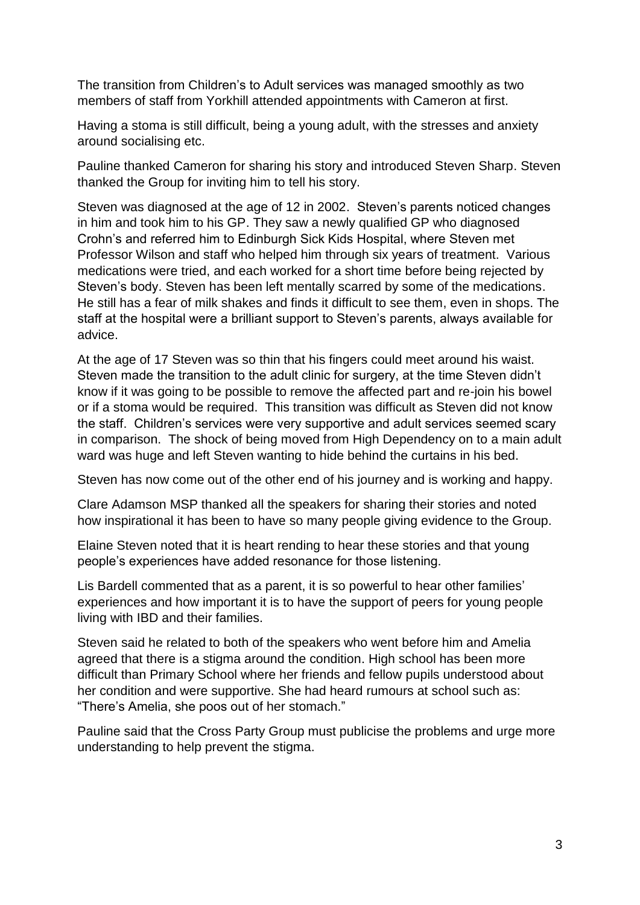The transition from Children's to Adult services was managed smoothly as two members of staff from Yorkhill attended appointments with Cameron at first.

Having a stoma is still difficult, being a young adult, with the stresses and anxiety around socialising etc.

Pauline thanked Cameron for sharing his story and introduced Steven Sharp. Steven thanked the Group for inviting him to tell his story.

Steven was diagnosed at the age of 12 in 2002. Steven's parents noticed changes in him and took him to his GP. They saw a newly qualified GP who diagnosed Crohn's and referred him to Edinburgh Sick Kids Hospital, where Steven met Professor Wilson and staff who helped him through six years of treatment. Various medications were tried, and each worked for a short time before being rejected by Steven's body. Steven has been left mentally scarred by some of the medications. He still has a fear of milk shakes and finds it difficult to see them, even in shops. The staff at the hospital were a brilliant support to Steven's parents, always available for advice.

At the age of 17 Steven was so thin that his fingers could meet around his waist. Steven made the transition to the adult clinic for surgery, at the time Steven didn't know if it was going to be possible to remove the affected part and re-join his bowel or if a stoma would be required. This transition was difficult as Steven did not know the staff. Children's services were very supportive and adult services seemed scary in comparison. The shock of being moved from High Dependency on to a main adult ward was huge and left Steven wanting to hide behind the curtains in his bed.

Steven has now come out of the other end of his journey and is working and happy.

Clare Adamson MSP thanked all the speakers for sharing their stories and noted how inspirational it has been to have so many people giving evidence to the Group.

Elaine Steven noted that it is heart rending to hear these stories and that young people's experiences have added resonance for those listening.

Lis Bardell commented that as a parent, it is so powerful to hear other families' experiences and how important it is to have the support of peers for young people living with IBD and their families.

Steven said he related to both of the speakers who went before him and Amelia agreed that there is a stigma around the condition. High school has been more difficult than Primary School where her friends and fellow pupils understood about her condition and were supportive. She had heard rumours at school such as: "There's Amelia, she poos out of her stomach."

Pauline said that the Cross Party Group must publicise the problems and urge more understanding to help prevent the stigma.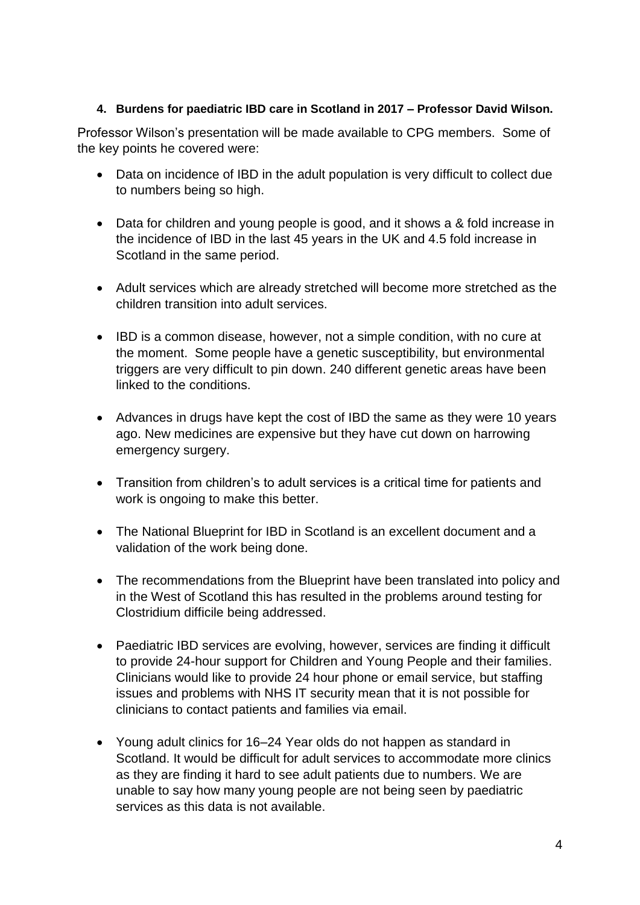## **4. Burdens for paediatric IBD care in Scotland in 2017 – Professor David Wilson.**

Professor Wilson's presentation will be made available to CPG members. Some of the key points he covered were:

- Data on incidence of IBD in the adult population is very difficult to collect due to numbers being so high.
- Data for children and young people is good, and it shows a & fold increase in the incidence of IBD in the last 45 years in the UK and 4.5 fold increase in Scotland in the same period.
- Adult services which are already stretched will become more stretched as the children transition into adult services.
- IBD is a common disease, however, not a simple condition, with no cure at the moment. Some people have a genetic susceptibility, but environmental triggers are very difficult to pin down. 240 different genetic areas have been linked to the conditions.
- Advances in drugs have kept the cost of IBD the same as they were 10 years ago. New medicines are expensive but they have cut down on harrowing emergency surgery.
- Transition from children's to adult services is a critical time for patients and work is ongoing to make this better.
- The National Blueprint for IBD in Scotland is an excellent document and a validation of the work being done.
- The recommendations from the Blueprint have been translated into policy and in the West of Scotland this has resulted in the problems around testing for Clostridium difficile being addressed.
- Paediatric IBD services are evolving, however, services are finding it difficult to provide 24-hour support for Children and Young People and their families. Clinicians would like to provide 24 hour phone or email service, but staffing issues and problems with NHS IT security mean that it is not possible for clinicians to contact patients and families via email.
- Young adult clinics for 16–24 Year olds do not happen as standard in Scotland. It would be difficult for adult services to accommodate more clinics as they are finding it hard to see adult patients due to numbers. We are unable to say how many young people are not being seen by paediatric services as this data is not available.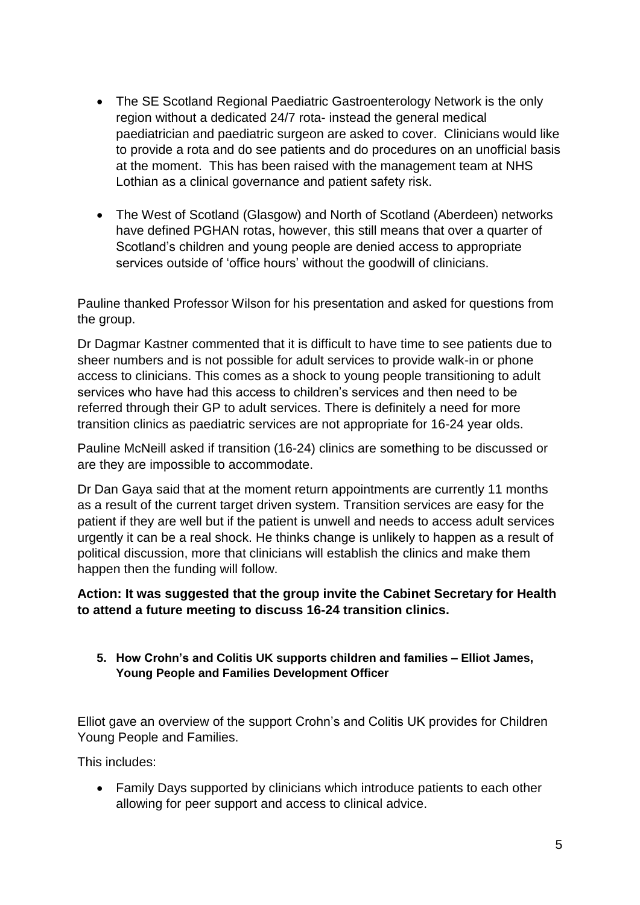- The SE Scotland Regional Paediatric Gastroenterology Network is the only region without a dedicated 24/7 rota- instead the general medical paediatrician and paediatric surgeon are asked to cover. Clinicians would like to provide a rota and do see patients and do procedures on an unofficial basis at the moment. This has been raised with the management team at NHS Lothian as a clinical governance and patient safety risk.
- The West of Scotland (Glasgow) and North of Scotland (Aberdeen) networks have defined PGHAN rotas, however, this still means that over a quarter of Scotland's children and young people are denied access to appropriate services outside of 'office hours' without the goodwill of clinicians.

Pauline thanked Professor Wilson for his presentation and asked for questions from the group.

Dr Dagmar Kastner commented that it is difficult to have time to see patients due to sheer numbers and is not possible for adult services to provide walk-in or phone access to clinicians. This comes as a shock to young people transitioning to adult services who have had this access to children's services and then need to be referred through their GP to adult services. There is definitely a need for more transition clinics as paediatric services are not appropriate for 16-24 year olds.

Pauline McNeill asked if transition (16-24) clinics are something to be discussed or are they are impossible to accommodate.

Dr Dan Gaya said that at the moment return appointments are currently 11 months as a result of the current target driven system. Transition services are easy for the patient if they are well but if the patient is unwell and needs to access adult services urgently it can be a real shock. He thinks change is unlikely to happen as a result of political discussion, more that clinicians will establish the clinics and make them happen then the funding will follow.

## **Action: It was suggested that the group invite the Cabinet Secretary for Health to attend a future meeting to discuss 16-24 transition clinics.**

**5. How Crohn's and Colitis UK supports children and families – Elliot James, Young People and Families Development Officer**

Elliot gave an overview of the support Crohn's and Colitis UK provides for Children Young People and Families.

This includes:

 Family Days supported by clinicians which introduce patients to each other allowing for peer support and access to clinical advice.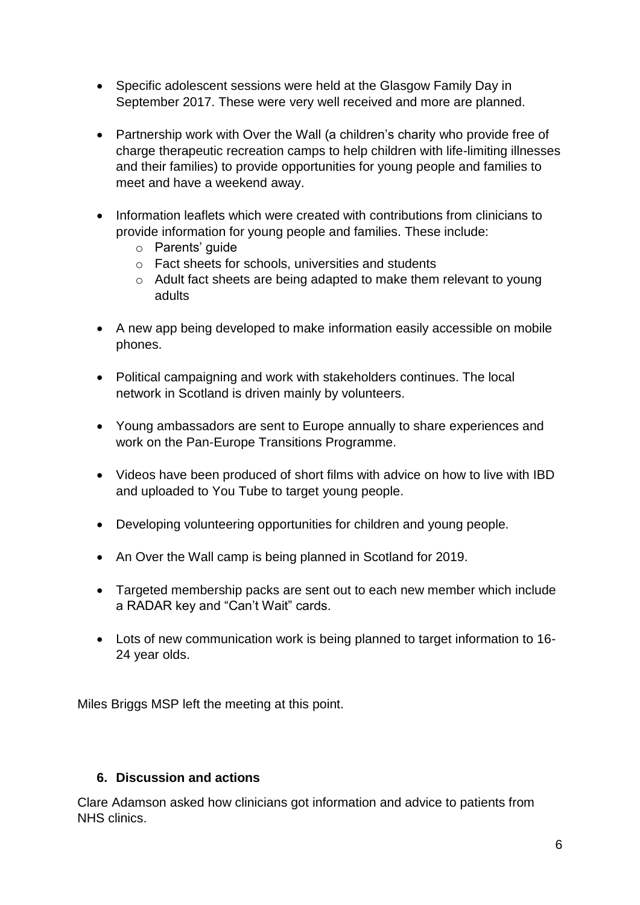- Specific adolescent sessions were held at the Glasgow Family Day in September 2017. These were very well received and more are planned.
- Partnership work with Over the Wall (a children's charity who provide free of charge therapeutic recreation camps to help children with life-limiting illnesses and their families) to provide opportunities for young people and families to meet and have a weekend away.
- Information leaflets which were created with contributions from clinicians to provide information for young people and families. These include:
	- o Parents' guide
	- o Fact sheets for schools, universities and students
	- o Adult fact sheets are being adapted to make them relevant to young adults
- A new app being developed to make information easily accessible on mobile phones.
- Political campaigning and work with stakeholders continues. The local network in Scotland is driven mainly by volunteers.
- Young ambassadors are sent to Europe annually to share experiences and work on the Pan-Europe Transitions Programme.
- Videos have been produced of short films with advice on how to live with IBD and uploaded to You Tube to target young people.
- Developing volunteering opportunities for children and young people.
- An Over the Wall camp is being planned in Scotland for 2019.
- Targeted membership packs are sent out to each new member which include a RADAR key and "Can't Wait" cards.
- Lots of new communication work is being planned to target information to 16- 24 year olds.

Miles Briggs MSP left the meeting at this point.

## **6. Discussion and actions**

Clare Adamson asked how clinicians got information and advice to patients from NHS clinics.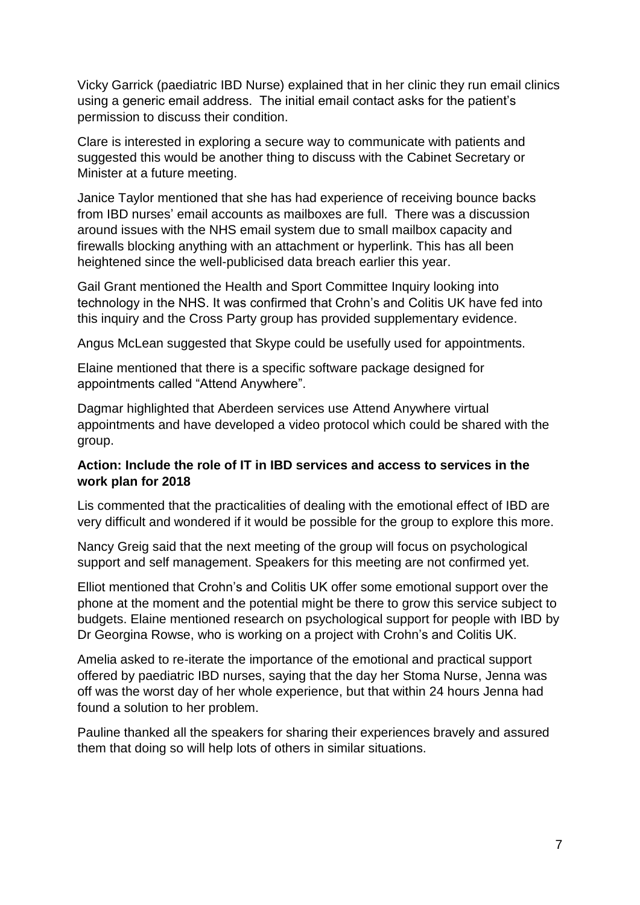Vicky Garrick (paediatric IBD Nurse) explained that in her clinic they run email clinics using a generic email address. The initial email contact asks for the patient's permission to discuss their condition.

Clare is interested in exploring a secure way to communicate with patients and suggested this would be another thing to discuss with the Cabinet Secretary or Minister at a future meeting.

Janice Taylor mentioned that she has had experience of receiving bounce backs from IBD nurses' email accounts as mailboxes are full. There was a discussion around issues with the NHS email system due to small mailbox capacity and firewalls blocking anything with an attachment or hyperlink. This has all been heightened since the well-publicised data breach earlier this year.

Gail Grant mentioned the Health and Sport Committee Inquiry looking into technology in the NHS. It was confirmed that Crohn's and Colitis UK have fed into this inquiry and the Cross Party group has provided supplementary evidence.

Angus McLean suggested that Skype could be usefully used for appointments.

Elaine mentioned that there is a specific software package designed for appointments called "Attend Anywhere".

Dagmar highlighted that Aberdeen services use Attend Anywhere virtual appointments and have developed a video protocol which could be shared with the group.

## **Action: Include the role of IT in IBD services and access to services in the work plan for 2018**

Lis commented that the practicalities of dealing with the emotional effect of IBD are very difficult and wondered if it would be possible for the group to explore this more.

Nancy Greig said that the next meeting of the group will focus on psychological support and self management. Speakers for this meeting are not confirmed yet.

Elliot mentioned that Crohn's and Colitis UK offer some emotional support over the phone at the moment and the potential might be there to grow this service subject to budgets. Elaine mentioned research on psychological support for people with IBD by Dr Georgina Rowse, who is working on a project with Crohn's and Colitis UK.

Amelia asked to re-iterate the importance of the emotional and practical support offered by paediatric IBD nurses, saying that the day her Stoma Nurse, Jenna was off was the worst day of her whole experience, but that within 24 hours Jenna had found a solution to her problem.

Pauline thanked all the speakers for sharing their experiences bravely and assured them that doing so will help lots of others in similar situations.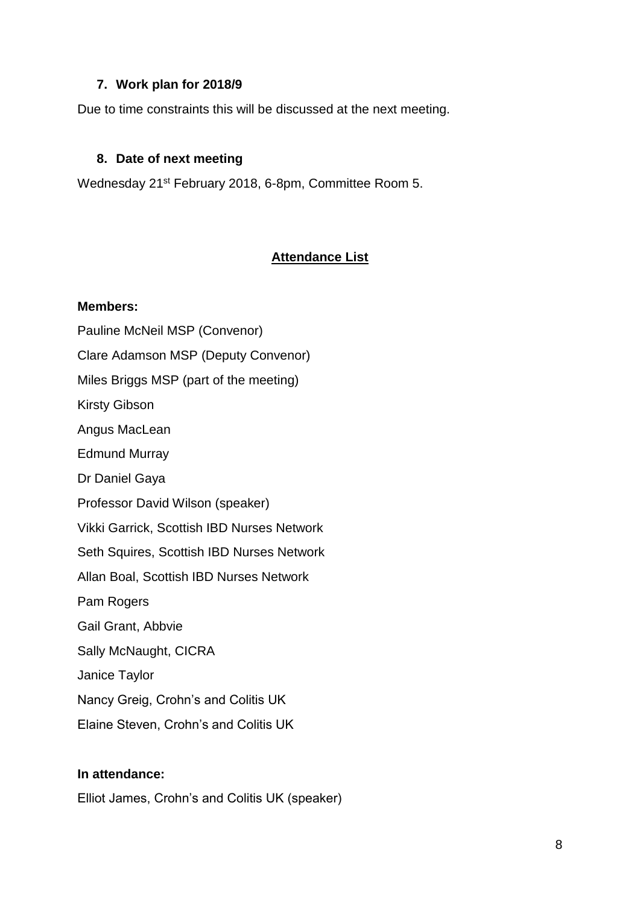## **7. Work plan for 2018/9**

Due to time constraints this will be discussed at the next meeting.

### **8. Date of next meeting**

Wednesday 21st February 2018, 6-8pm, Committee Room 5.

# **Attendance List**

#### **Members:**

Pauline McNeil MSP (Convenor) Clare Adamson MSP (Deputy Convenor) Miles Briggs MSP (part of the meeting) Kirsty Gibson Angus MacLean Edmund Murray Dr Daniel Gaya Professor David Wilson (speaker) Vikki Garrick, Scottish IBD Nurses Network Seth Squires, Scottish IBD Nurses Network Allan Boal, Scottish IBD Nurses Network Pam Rogers Gail Grant, Abbvie Sally McNaught, CICRA Janice Taylor Nancy Greig, Crohn's and Colitis UK Elaine Steven, Crohn's and Colitis UK

## **In attendance:**

Elliot James, Crohn's and Colitis UK (speaker)